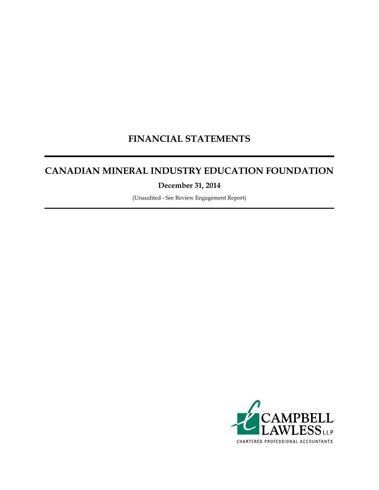## **FINANCIAL STATEMENTS**

## **CANADIAN MINERAL INDUSTRY EDUCATION FOUNDATION**

**December 31, 2014**

(Unaudited - See Review Engagement Report)

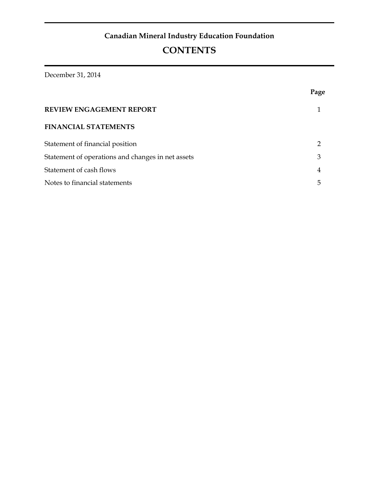December 31, 2014

|                                                   | Page |
|---------------------------------------------------|------|
| <b>REVIEW ENGAGEMENT REPORT</b>                   |      |
| <b>FINANCIAL STATEMENTS</b>                       |      |
| Statement of financial position                   | າ    |
| Statement of operations and changes in net assets | 3    |
| Statement of cash flows                           | 4    |
| Notes to financial statements                     | 5    |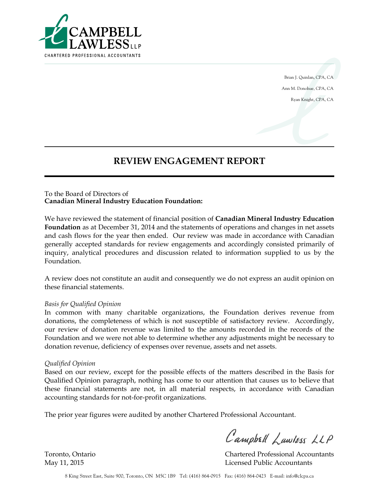

Brian J. Quinlan, CPA, CA Ann M. Donohue, CPA, CA Ryan Knight, CPA, CA

## **REVIEW ENGAGEMENT REPORT**

#### To the Board of Directors of **Canadian Mineral Industry Education Foundation:**

We have reviewed the statement of financial position of **Canadian Mineral Industry Education Foundation** as at December 31, 2014 and the statements of operations and changes in net assets and cash flows for the year then ended. Our review was made in accordance with Canadian generally accepted standards for review engagements and accordingly consisted primarily of inquiry, analytical procedures and discussion related to information supplied to us by the Foundation.

A review does not constitute an audit and consequently we do not express an audit opinion on these financial statements.

#### *Basis for Qualified Opinion*

In common with many charitable organizations, the Foundation derives revenue from donations, the completeness of which is not susceptible of satisfactory review. Accordingly, our review of donation revenue was limited to the amounts recorded in the records of the Foundation and we were not able to determine whether any adjustments might be necessary to donation revenue, deficiency of expenses over revenue, assets and net assets.

#### *Qualified Opinion*

Based on our review, except for the possible effects of the matters described in the Basis for Qualified Opinion paragraph, nothing has come to our attention that causes us to believe that these financial statements are not, in all material respects, in accordance with Canadian accounting standards for not-for-profit organizations.

The prior year figures were audited by another Chartered Professional Accountant.

Campbell Lawless LLP

Toronto, Ontario Chartered Professional Accountants May 11, 2015 Licensed Public Accountants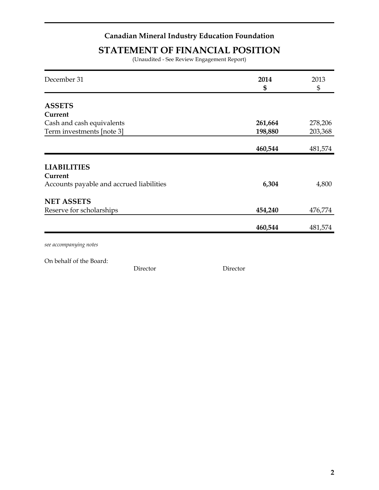## **STATEMENT OF FINANCIAL POSITION**

(Unaudited - See Review Engagement Report)

| December 31                              | 2014    | 2013           |
|------------------------------------------|---------|----------------|
|                                          | \$      | $\mathfrak{S}$ |
| <b>ASSETS</b>                            |         |                |
| Current                                  |         |                |
|                                          |         |                |
| Cash and cash equivalents                | 261,664 | 278,206        |
| Term investments [note 3]                | 198,880 | 203,368        |
|                                          |         |                |
|                                          | 460,544 | 481,574        |
|                                          |         |                |
| <b>LIABILITIES</b>                       |         |                |
| Current                                  |         |                |
| Accounts payable and accrued liabilities | 6,304   | 4,800          |
|                                          |         |                |
| <b>NET ASSETS</b>                        |         |                |
| Reserve for scholarships                 | 454,240 | 476,774        |
|                                          |         |                |
|                                          | 460,544 | 481,574        |
|                                          |         |                |

*see accompanying notes*

On behalf of the Board:

Director Director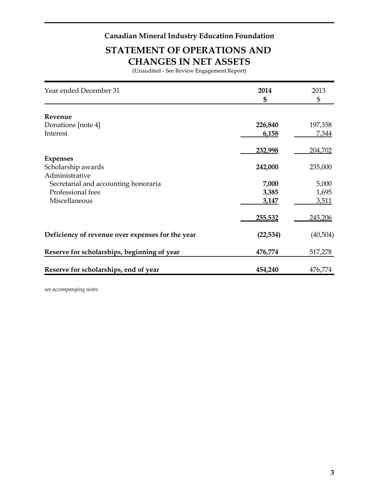## **STATEMENT OF OPERATIONS AND CHANGES IN NET ASSETS**

(Unaudited - See Review Engagement Report)

| Year ended December 31                           | 2014<br>\$ | 2013<br>\$ |
|--------------------------------------------------|------------|------------|
|                                                  |            |            |
| Revenue                                          |            |            |
| Donations [note 4]                               | 226,840    | 197,358    |
| Interest                                         | 6,158      | 7,344      |
|                                                  | 232,998    | 204,702    |
| <b>Expenses</b>                                  |            |            |
| Scholarship awards                               | 242,000    | 235,000    |
| Administrative                                   |            |            |
| Secretarial and accounting honoraria             | 7,000      | 5,000      |
| Professional fees                                | 3,385      | 1,695      |
| Miscellaneous                                    | 3,147      | 3,511      |
|                                                  | 255,532    | 245,206    |
| Deficiency of revenue over expenses for the year | (22, 534)  | (40,504)   |
| Reserve for scholarships, beginning of year      | 476,774    | 517,278    |
| Reserve for scholarships, end of year            | 454,240    | 476,774    |

*see accompanying notes*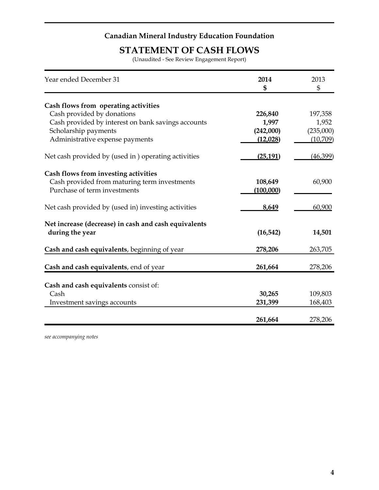## **STATEMENT OF CASH FLOWS**

(Unaudited - See Review Engagement Report)

| Year ended December 31                               | 2014<br>\$ | 2013<br>$\mathfrak{S}$ |
|------------------------------------------------------|------------|------------------------|
| Cash flows from operating activities                 |            |                        |
| Cash provided by donations                           | 226,840    | 197,358                |
| Cash provided by interest on bank savings accounts   | 1,997      | 1,952                  |
| Scholarship payments                                 | (242,000)  | (235,000)              |
| Administrative expense payments                      | (12,028)   | (10,709)               |
| Net cash provided by (used in) operating activities  | (25, 191)  | (46,399)               |
| Cash flows from investing activities                 |            |                        |
| Cash provided from maturing term investments         | 108,649    | 60,900                 |
| Purchase of term investments                         | (100,000)  |                        |
| Net cash provided by (used in) investing activities  | 8,649      | 60,900                 |
| Net increase (decrease) in cash and cash equivalents |            |                        |
| during the year                                      | (16, 542)  | 14,501                 |
| Cash and cash equivalents, beginning of year         | 278,206    | 263,705                |
| Cash and cash equivalents, end of year               | 261,664    | 278,206                |
|                                                      |            |                        |
| Cash and cash equivalents consist of:                |            |                        |
| Cash                                                 | 30,265     | 109,803                |
| Investment savings accounts                          | 231,399    | 168,403                |
|                                                      | 261,664    | 278,206                |

*see accompanying notes*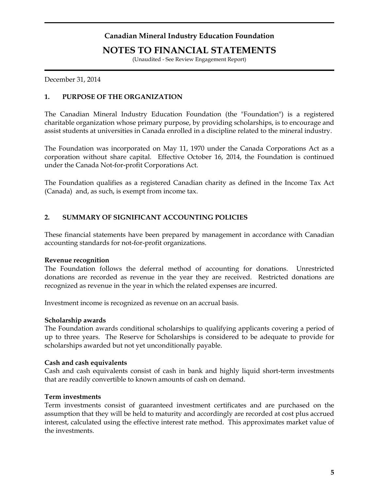### **NOTES TO FINANCIAL STATEMENTS**

(Unaudited - See Review Engagement Report)

December 31, 2014

#### **1. PURPOSE OF THE ORGANIZATION**

The Canadian Mineral Industry Education Foundation (the "Foundation") is a registered charitable organization whose primary purpose, by providing scholarships, is to encourage and assist students at universities in Canada enrolled in a discipline related to the mineral industry.

The Foundation was incorporated on May 11, 1970 under the Canada Corporations Act as a corporation without share capital. Effective October 16, 2014, the Foundation is continued under the Canada Not-for-profit Corporations Act.

The Foundation qualifies as a registered Canadian charity as defined in the Income Tax Act (Canada) and, as such, is exempt from income tax.

#### **2. SUMMARY OF SIGNIFICANT ACCOUNTING POLICIES**

These financial statements have been prepared by management in accordance with Canadian accounting standards for not-for-profit organizations.

#### **Revenue recognition**

The Foundation follows the deferral method of accounting for donations. Unrestricted donations are recorded as revenue in the year they are received. Restricted donations are recognized as revenue in the year in which the related expenses are incurred.

Investment income is recognized as revenue on an accrual basis.

#### **Scholarship awards**

The Foundation awards conditional scholarships to qualifying applicants covering a period of up to three years. The Reserve for Scholarships is considered to be adequate to provide for scholarships awarded but not yet unconditionally payable.

#### **Cash and cash equivalents**

Cash and cash equivalents consist of cash in bank and highly liquid short-term investments that are readily convertible to known amounts of cash on demand.

#### **Term investments**

Term investments consist of guaranteed investment certificates and are purchased on the assumption that they will be held to maturity and accordingly are recorded at cost plus accrued interest, calculated using the effective interest rate method. This approximates market value of the investments.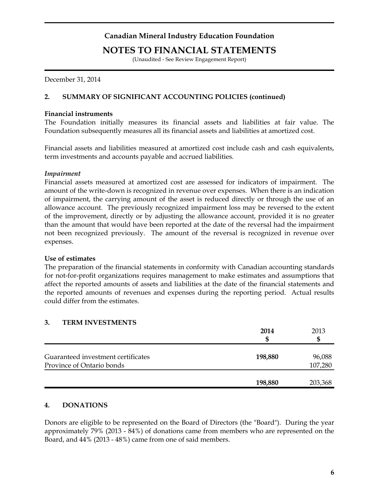### **NOTES TO FINANCIAL STATEMENTS**

(Unaudited - See Review Engagement Report)

December 31, 2014

#### **2. SUMMARY OF SIGNIFICANT ACCOUNTING POLICIES (continued)**

#### **Financial instruments**

The Foundation initially measures its financial assets and liabilities at fair value. The Foundation subsequently measures all its financial assets and liabilities at amortized cost.

Financial assets and liabilities measured at amortized cost include cash and cash equivalents, term investments and accounts payable and accrued liabilities.

#### *Impairment*

Financial assets measured at amortized cost are assessed for indicators of impairment. The amount of the write-down is recognized in revenue over expenses. When there is an indication of impairment, the carrying amount of the asset is reduced directly or through the use of an allowance account. The previously recognized impairment loss may be reversed to the extent of the improvement, directly or by adjusting the allowance account, provided it is no greater than the amount that would have been reported at the date of the reversal had the impairment not been recognized previously. The amount of the reversal is recognized in revenue over expenses.

#### **Use of estimates**

The preparation of the financial statements in conformity with Canadian accounting standards for not-for-profit organizations requires management to make estimates and assumptions that affect the reported amounts of assets and liabilities at the date of the financial statements and the reported amounts of revenues and expenses during the reporting period. Actual results could differ from the estimates.

#### **3. TERM INVESTMENTS**

|                                                                 | 2014<br>\$ | 2013<br>S         |
|-----------------------------------------------------------------|------------|-------------------|
| Guaranteed investment certificates<br>Province of Ontario bonds | 198,880    | 96,088<br>107,280 |
|                                                                 | 198,880    | 203,368           |

#### **4. DONATIONS**

Donors are eligible to be represented on the Board of Directors (the "Board"). During the year approximately 79% (2013 - 84%) of donations came from members who are represented on the Board, and 44% (2013 - 48%) came from one of said members.